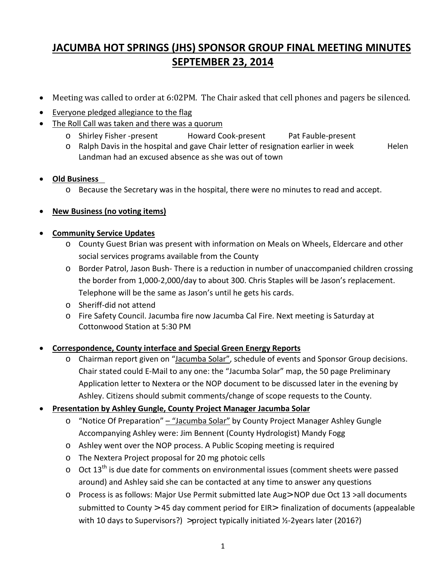# **JACUMBA HOT SPRINGS (JHS) SPONSOR GROUP FINAL MEETING MINUTES SEPTEMBER 23, 2014**

- Meeting was called to order at 6:02PM. The Chair asked that cell phones and pagers be silenced.
- Everyone pledged allegiance to the flag
- The Roll Call was taken and there was a quorum
	- o Shirley Fisher -present Howard Cook-present Pat Fauble-present
	- $\circ$  Ralph Davis in the hospital and gave Chair letter of resignation earlier in week Helen Landman had an excused absence as she was out of town

## • **Old Business**

o Because the Secretary was in the hospital, there were no minutes to read and accept.

## • **New Business (no voting items)**

## • **Community Service Updates**

- o County Guest Brian was present with information on Meals on Wheels, Eldercare and other social services programs available from the County
- o Border Patrol, Jason Bush- There is a reduction in number of unaccompanied children crossing the border from 1,000-2,000/day to about 300. Chris Staples will be Jason's replacement. Telephone will be the same as Jason's until he gets his cards.
- o Sheriff-did not attend
- o Fire Safety Council. Jacumba fire now Jacumba Cal Fire. Next meeting is Saturday at Cottonwood Station at 5:30 PM

## • **Correspondence, County interface and Special Green Energy Reports**

o Chairman report given on "Jacumba Solar", schedule of events and Sponsor Group decisions. Chair stated could E-Mail to any one: the "Jacumba Solar" map, the 50 page Preliminary Application letter to Nextera or the NOP document to be discussed later in the evening by Ashley. Citizens should submit comments/change of scope requests to the County.

## • **Presentation by Ashley Gungle, County Project Manager Jacumba Solar**

- o "Notice Of Preparation" "Jacumba Solar" by County Project Manager Ashley Gungle Accompanying Ashley were: Jim Bennent (County Hydrologist) Mandy Fogg
- o Ashley went over the NOP process. A Public Scoping meeting is required
- o The Nextera Project proposal for 20 mg photoic cells
- $\circ$  Oct 13<sup>th</sup> is due date for comments on environmental issues (comment sheets were passed around) and Ashley said she can be contacted at any time to answer any questions
- o Process is as follows: Major Use Permit submitted late Aug> NOP due Oct 13 >all documents submitted to County > 45 day comment period for EIR> finalization of documents (appealable with 10 days to Supervisors?) >project typically initiated ½-2years later (2016?)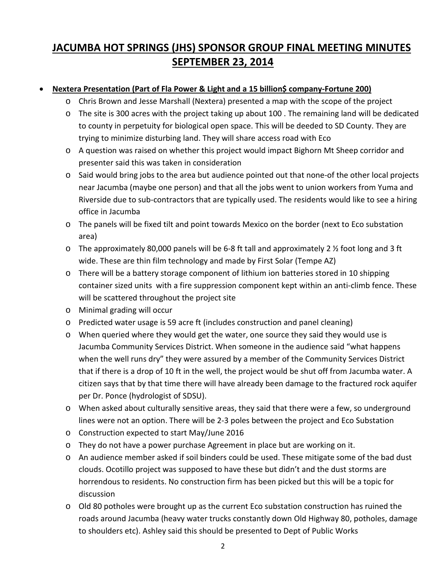# **JACUMBA HOT SPRINGS (JHS) SPONSOR GROUP FINAL MEETING MINUTES SEPTEMBER 23, 2014**

## • **Nextera Presentation (Part of Fla Power & Light and a 15 billion\$ company-Fortune 200)**

- o Chris Brown and Jesse Marshall (Nextera) presented a map with the scope of the project
- o The site is 300 acres with the project taking up about 100 . The remaining land will be dedicated to county in perpetuity for biological open space. This will be deeded to SD County. They are trying to minimize disturbing land. They will share access road with Eco
- o A question was raised on whether this project would impact Bighorn Mt Sheep corridor and presenter said this was taken in consideration
- o Said would bring jobs to the area but audience pointed out that none-of the other local projects near Jacumba (maybe one person) and that all the jobs went to union workers from Yuma and Riverside due to sub-contractors that are typically used. The residents would like to see a hiring office in Jacumba
- o The panels will be fixed tilt and point towards Mexico on the border (next to Eco substation area)
- o The approximately 80,000 panels will be 6-8 ft tall and approximately 2 ½ foot long and 3 ft wide. These are thin film technology and made by First Solar (Tempe AZ)
- o There will be a battery storage component of lithium ion batteries stored in 10 shipping container sized units with a fire suppression component kept within an anti-climb fence. These will be scattered throughout the project site
- o Minimal grading will occur
- o Predicted water usage is 59 acre ft (includes construction and panel cleaning)
- o When queried where they would get the water, one source they said they would use is Jacumba Community Services District. When someone in the audience said "what happens when the well runs dry" they were assured by a member of the Community Services District that if there is a drop of 10 ft in the well, the project would be shut off from Jacumba water. A citizen says that by that time there will have already been damage to the fractured rock aquifer per Dr. Ponce (hydrologist of SDSU).
- o When asked about culturally sensitive areas, they said that there were a few, so underground lines were not an option. There will be 2-3 poles between the project and Eco Substation
- o Construction expected to start May/June 2016
- o They do not have a power purchase Agreement in place but are working on it.
- o An audience member asked if soil binders could be used. These mitigate some of the bad dust clouds. Ocotillo project was supposed to have these but didn't and the dust storms are horrendous to residents. No construction firm has been picked but this will be a topic for discussion
- o Old 80 potholes were brought up as the current Eco substation construction has ruined the roads around Jacumba (heavy water trucks constantly down Old Highway 80, potholes, damage to shoulders etc). Ashley said this should be presented to Dept of Public Works